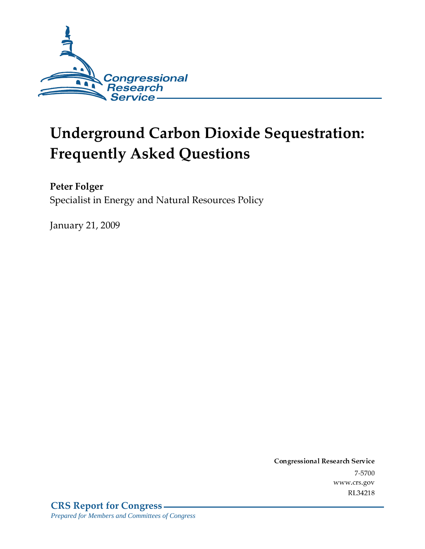

# **Underground Carbon Dioxide Sequestration: Frequently Asked Questions**

#### Peter Folger

Specialist in Energy and Natural Resources Policy

**January 21, 2009** 

Conglessional Research Service  $7 - 2700$ www.crs.gov RL34218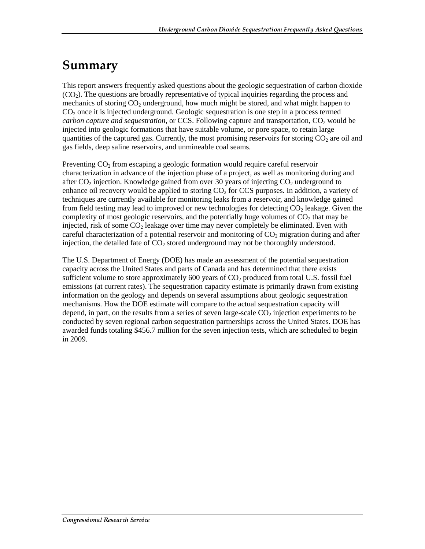### Summary

This report answers frequently asked questions about the geologic sequestration of carbon dioxide (CO2). The questions are broadly representative of typical inquiries regarding the process and mechanics of storing  $CO<sub>2</sub>$  underground, how much might be stored, and what might happen to  $CO<sub>2</sub>$  once it is injected underground. Geologic sequestration is one step in a process termed *carbon capture and sequestration*, or CCS. Following capture and transportation,  $CO<sub>2</sub>$  would be injected into geologic formations that have suitable volume, or pore space, to retain large quantities of the captured gas. Currently, the most promising reservoirs for storing  $CO<sub>2</sub>$  are oil and gas fields, deep saline reservoirs, and unmineable coal seams.

Preventing  $CO<sub>2</sub>$  from escaping a geologic formation would require careful reservoir characterization in advance of the injection phase of a project, as well as monitoring during and after  $CO<sub>2</sub>$  injection. Knowledge gained from over 30 years of injecting  $CO<sub>2</sub>$  underground to enhance oil recovery would be applied to storing  $CO<sub>2</sub>$  for CCS purposes. In addition, a variety of techniques are currently available for monitoring leaks from a reservoir, and knowledge gained from field testing may lead to improved or new technologies for detecting  $CO<sub>2</sub>$  leakage. Given the complexity of most geologic reservoirs, and the potentially huge volumes of  $CO<sub>2</sub>$  that may be injected, risk of some  $CO<sub>2</sub>$  leakage over time may never completely be eliminated. Even with careful characterization of a potential reservoir and monitoring of  $CO<sub>2</sub>$  migration during and after injection, the detailed fate of  $CO<sub>2</sub>$  stored underground may not be thoroughly understood.

The U.S. Department of Energy (DOE) has made an assessment of the potential sequestration capacity across the United States and parts of Canada and has determined that there exists sufficient volume to store approximately 600 years of  $CO<sub>2</sub>$  produced from total U.S. fossil fuel emissions (at current rates). The sequestration capacity estimate is primarily drawn from existing information on the geology and depends on several assumptions about geologic sequestration mechanisms. How the DOE estimate will compare to the actual sequestration capacity will depend, in part, on the results from a series of seven large-scale  $CO<sub>2</sub>$  injection experiments to be conducted by seven regional carbon sequestration partnerships across the United States. DOE has awarded funds totaling \$456.7 million for the seven injection tests, which are scheduled to begin in 2009.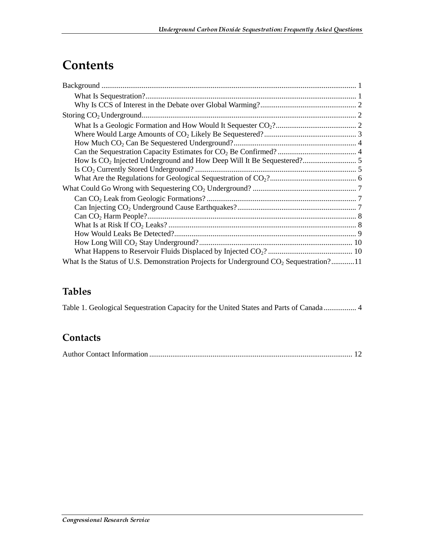### **Contents**

| What Is the Status of U.S. Demonstration Projects for Underground $CO_2$ Sequestration?11 |  |
|-------------------------------------------------------------------------------------------|--|

#### **Tables**

Table 1. Geological Sequestration Capacity for the United States and Parts of Canada................. 4

#### Contacts

|--|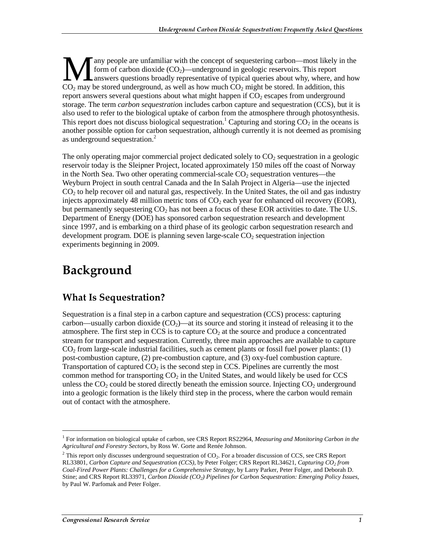any people are unfamiliar with the concept of sequestering carbon—most likely in the form of carbon dioxide  $(CO<sub>2</sub>)$ —underground in geologic reservoirs. This report  $\Box$  answers questions broadly representative of typical queries about why, where, and how May people are unfamiliar with the concept of sequestering carbon—most likely in form of carbon dioxide  $(CO_2)$ —underground in geologic reservoirs. This report answers questions broadly representative of typical queries a report answers several questions about what might happen if  $CO<sub>2</sub>$  escapes from underground storage. The term *carbon sequestratio*n includes carbon capture and sequestration (CCS), but it is also used to refer to the biological uptake of carbon from the atmosphere through photosynthesis. This report does not discuss biological sequestration.<sup>1</sup> Capturing and storing  $CO_2$  in the oceans is another possible option for carbon sequestration, although currently it is not deemed as promising as underground sequestration.<sup>2</sup>

The only operating major commercial project dedicated solely to  $CO<sub>2</sub>$  sequestration in a geologic reservoir today is the Sleipner Project, located approximately 150 miles off the coast of Norway in the North Sea. Two other operating commercial-scale  $CO<sub>2</sub>$  sequestration ventures—the Weyburn Project in south central Canada and the In Salah Project in Algeria—use the injected  $CO<sub>2</sub>$  to help recover oil and natural gas, respectively. In the United States, the oil and gas industry injects approximately 48 million metric tons of  $CO<sub>2</sub>$  each year for enhanced oil recovery (EOR), but permanently sequestering  $CO<sub>2</sub>$  has not been a focus of these EOR activities to date. The U.S. Department of Energy (DOE) has sponsored carbon sequestration research and development since 1997, and is embarking on a third phase of its geologic carbon sequestration research and development program. DOE is planning seven large-scale  $CO<sub>2</sub>$  sequestration injection experiments beginning in 2009.

### Background

#### **What Is Sequestration?**

Sequestration is a final step in a carbon capture and sequestration (CCS) process: capturing carbon—usually carbon dioxide  $(CO<sub>2</sub>)$ —at its source and storing it instead of releasing it to the atmosphere. The first step in CCS is to capture  $CO<sub>2</sub>$  at the source and produce a concentrated stream for transport and sequestration. Currently, three main approaches are available to capture  $CO<sub>2</sub>$  from large-scale industrial facilities, such as cement plants or fossil fuel power plants: (1) post-combustion capture, (2) pre-combustion capture, and (3) oxy-fuel combustion capture. Transportation of captured  $CO<sub>2</sub>$  is the second step in CCS. Pipelines are currently the most common method for transporting  $CO<sub>2</sub>$  in the United States, and would likely be used for CCS unless the  $CO<sub>2</sub>$  could be stored directly beneath the emission source. Injecting  $CO<sub>2</sub>$  underground into a geologic formation is the likely third step in the process, where the carbon would remain out of contact with the atmosphere.

<sup>1</sup> For information on biological uptake of carbon, see CRS Report RS22964, *Measuring and Monitoring Carbon in the Agricultural and Forestry Sectors*, by Ross W. Gorte and Renée Johnson.

 $2^2$  This report only discusses underground sequestration of CO<sub>2</sub>. For a broader discussion of CCS, see CRS Report RL33801, *Carbon Capture and Sequestration (CCS)*, by Peter Folger; CRS Report RL34621, *Capturing CO<sub>2</sub> from Coal-Fired Power Plants: Challenges for a Comprehensive Strategy*, by Larry Parker, Peter Folger, and Deborah D. Stine; and CRS Report RL33971, *Carbon Dioxide (CO2) Pipelines for Carbon Sequestration: Emerging Policy Issues*, by Paul W. Parfomak and Peter Folger.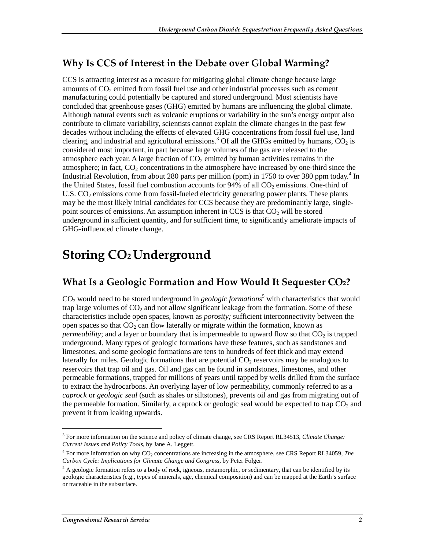#### Why Is CCS of Interest in the Debate over Global Warming?

CCS is attracting interest as a measure for mitigating global climate change because large amounts of CO<sub>2</sub> emitted from fossil fuel use and other industrial processes such as cement manufacturing could potentially be captured and stored underground. Most scientists have concluded that greenhouse gases (GHG) emitted by humans are influencing the global climate. Although natural events such as volcanic eruptions or variability in the sun's energy output also contribute to climate variability, scientists cannot explain the climate changes in the past few decades without including the effects of elevated GHG concentrations from fossil fuel use, land clearing, and industrial and agricultural emissions.<sup>3</sup> Of all the GHGs emitted by humans,  $CO_2$  is considered most important, in part because large volumes of the gas are released to the atmosphere each year. A large fraction of  $CO<sub>2</sub>$  emitted by human activities remains in the atmosphere; in fact,  $CO<sub>2</sub>$  concentrations in the atmosphere have increased by one-third since the Industrial Revolution, from about 280 parts per million (ppm) in 1750 to over 380 ppm today.<sup>4</sup> In the United States, fossil fuel combustion accounts for  $94\%$  of all  $CO<sub>2</sub>$  emissions. One-third of U.S. CO<sub>2</sub> emissions come from fossil-fueled electricity generating power plants. These plants may be the most likely initial candidates for CCS because they are predominantly large, singlepoint sources of emissions. An assumption inherent in CCS is that  $CO<sub>2</sub>$  will be stored underground in sufficient quantity, and for sufficient time, to significantly ameliorate impacts of GHG-influenced climate change.

# Storing CO2 Underground

### What Is a Geologic Formation and How Would It Sequester  $\mathrm{CO}_2$ ?

CO<sub>2</sub> would need to be stored underground in *geologic formations*<sup>5</sup> with characteristics that would trap large volumes of  $CO<sub>2</sub>$  and not allow significant leakage from the formation. Some of these characteristics include open spaces, known as *porosity;* sufficient interconnectivity between the open spaces so that  $CO<sub>2</sub>$  can flow laterally or migrate within the formation, known as *permeability*; and a layer or boundary that is impermeable to upward flow so that  $CO<sub>2</sub>$  is trapped underground. Many types of geologic formations have these features, such as sandstones and limestones, and some geologic formations are tens to hundreds of feet thick and may extend laterally for miles. Geologic formations that are potential  $CO<sub>2</sub>$  reservoirs may be analogous to reservoirs that trap oil and gas. Oil and gas can be found in sandstones, limestones, and other permeable formations, trapped for millions of years until tapped by wells drilled from the surface to extract the hydrocarbons. An overlying layer of low permeability, commonly referred to as a *caprock* or *geologic seal* (such as shales or siltstones), prevents oil and gas from migrating out of the permeable formation. Similarly, a caprock or geologic seal would be expected to trap  $CO<sub>2</sub>$  and prevent it from leaking upwards.

<sup>3</sup> For more information on the science and policy of climate change, see CRS Report RL34513, *Climate Change: Current Issues and Policy Tools*, by Jane A. Leggett.

<sup>&</sup>lt;sup>4</sup> For more information on why CO<sub>2</sub> concentrations are increasing in the atmosphere, see CRS Report RL34059, *The Carbon Cycle: Implications for Climate Change and Congress*, by Peter Folger.

<sup>&</sup>lt;sup>5</sup> A geologic formation refers to a body of rock, igneous, metamorphic, or sedimentary, that can be identified by its geologic characteristics (e.g., types of minerals, age, chemical composition) and can be mapped at the Earth's surface or traceable in the subsurface.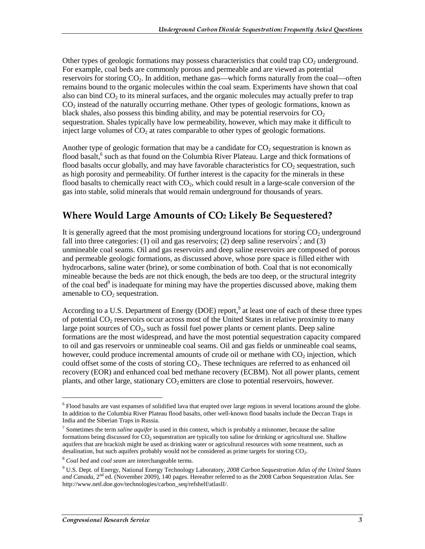Other types of geologic formations may possess characteristics that could trap  $CO<sub>2</sub>$  underground. For example, coal beds are commonly porous and permeable and are viewed as potential reservoirs for storing  $CO<sub>2</sub>$ . In addition, methane gas—which forms naturally from the coal—often remains bound to the organic molecules within the coal seam. Experiments have shown that coal also can bind  $CO<sub>2</sub>$  to its mineral surfaces, and the organic molecules may actually prefer to trap  $CO<sub>2</sub>$  instead of the naturally occurring methane. Other types of geologic formations, known as black shales, also possess this binding ability, and may be potential reservoirs for  $CO<sub>2</sub>$ sequestration. Shales typically have low permeability, however, which may make it difficult to inject large volumes of  $CO<sub>2</sub>$  at rates comparable to other types of geologic formations.

Another type of geologic formation that may be a candidate for  $CO<sub>2</sub>$  sequestration is known as flood basalt,<sup>6</sup> such as that found on the Columbia River Plateau. Large and thick formations of flood basalts occur globally, and may have favorable characteristics for  $CO<sub>2</sub>$  sequestration, such as high porosity and permeability. Of further interest is the capacity for the minerals in these flood basalts to chemically react with  $CO<sub>2</sub>$ , which could result in a large-scale conversion of the gas into stable, solid minerals that would remain underground for thousands of years.

### Where Would Large Amounts of  $\mathsf{CO}_2$  Likely Be Sequestered?

It is generally agreed that the most promising underground locations for storing  $CO<sub>2</sub>$  underground fall into three categories: (1) oil and gas reservoirs; (2) deep saline reservoirs<sup>7</sup>; and (3) unmineable coal seams. Oil and gas reservoirs and deep saline reservoirs are composed of porous and permeable geologic formations, as discussed above, whose pore space is filled either with hydrocarbons, saline water (brine), or some combination of both. Coal that is not economically mineable because the beds are not thick enough, the beds are too deep, or the structural integrity of the coal bed<sup>8</sup> is inadequate for mining may have the properties discussed above, making them amenable to  $CO<sub>2</sub>$  sequestration.

According to a U.S. Department of Energy (DOE) report,<sup>9</sup> at least one of each of these three types of potential  $CO<sub>2</sub>$  reservoirs occur across most of the United States in relative proximity to many large point sources of  $CO<sub>2</sub>$ , such as fossil fuel power plants or cement plants. Deep saline formations are the most widespread, and have the most potential sequestration capacity compared to oil and gas reservoirs or unmineable coal seams. Oil and gas fields or unmineable coal seams, however, could produce incremental amounts of crude oil or methane with  $CO<sub>2</sub>$  injection, which could offset some of the costs of storing  $CO<sub>2</sub>$ . These techniques are referred to as enhanced oil recovery (EOR) and enhanced coal bed methane recovery (ECBM). Not all power plants, cement plants, and other large, stationary  $CO<sub>2</sub>$  emitters are close to potential reservoirs, however.

 $\overline{a}$ 

 $<sup>6</sup>$  Flood basalts are vast expanses of solidified lava that erupted over large regions in several locations around the globe.</sup> In addition to the Columbia River Plateau flood basalts, other well-known flood basalts include the Deccan Traps in India and the Siberian Traps in Russia.

<sup>7</sup> Sometimes the term *saline aquifer* is used in this context, which is probably a misnomer, because the saline formations being discussed for  $CO<sub>2</sub>$  sequestration are typically too saline for drinking or agricultural use. Shallow aquifers that are brackish might be used as drinking water or agricultural resources with some treatment, such as desalination, but such aquifers probably would not be considered as prime targets for storing  $CO<sub>2</sub>$ .

<sup>8</sup> *Coal bed* and *coal seam* are interchangeable terms.

<sup>9</sup> U.S. Dept. of Energy, National Energy Technology Laboratory, *2008 Carbon Sequestration Atlas of the United States and Canada*, 2nd ed. (November 2009), 140 pages. Hereafter referred to as the 2008 Carbon Sequestration Atlas. See http://www.netl.doe.gov/technologies/carbon\_seq/refshelf/atlasII/.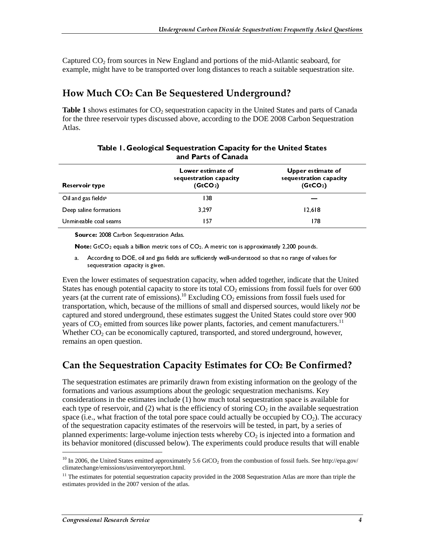Captured  $CO<sub>2</sub>$  from sources in New England and portions of the mid-Atlantic seaboard, for example, might have to be transported over long distances to reach a suitable sequestration site.

### How Much  $\mathop{\rm CO_{2}}$  Can Be Sequestered Underground?

**Table 1** shows estimates for CO<sub>2</sub> sequestration capacity in the United States and parts of Canada for the three reservoir types discussed above, according to the DOE 2008 Carbon Sequestration Atlas.

| allu Fal ts VI Callaud          |                                                                     |                                                                     |  |
|---------------------------------|---------------------------------------------------------------------|---------------------------------------------------------------------|--|
| Reservoir type                  | Lower estimate of<br>sequestration capacity<br>(GtCO <sub>2</sub> ) | Upper estimate of<br>sequestration capacity<br>(GtCO <sub>2</sub> ) |  |
| Oil and gas fields <sup>a</sup> | 138                                                                 |                                                                     |  |
| Deep saline formations          | 3.297                                                               | 12.618                                                              |  |
| Unmineable coal seams           | 157                                                                 | 178                                                                 |  |

| Table 1. Geological Sequestration Capacity for the United States |  |
|------------------------------------------------------------------|--|
| and Parts of Canada                                              |  |

Source: 2008 Carbon Sequestration Atlas.

Note: GtCO<sub>2</sub> equals a billion metric tons of CO<sub>2</sub>. A metric ton is approximately 2,200 pounds.

a. According to DOE, oil and gas fields are sufficiently well-understood so that no range of values for sequestration capacity is given.

Even the lower estimates of sequestration capacity, when added together, indicate that the United States has enough potential capacity to store its total  $CO<sub>2</sub>$  emissions from fossil fuels for over 600 years (at the current rate of emissions).<sup>10</sup> Excluding  $CO_2$  emissions from fossil fuels used for transportation, which, because of the millions of small and dispersed sources, would likely *not* be captured and stored underground, these estimates suggest the United States could store over 900 years of  $CO_2$  emitted from sources like power plants, factories, and cement manufacturers.<sup>11</sup> Whether  $CO<sub>2</sub>$  can be economically captured, transported, and stored underground, however, remains an open question.

#### Can the Sequestration Capacity Estimates for CO<sub>2</sub> Be Confirmed?

On any areas weaker and (1) and gas fields the most gas fields and gas fields and gas fields constant and gas fields are sufficient of  $\sim 200$  points. According to DOE, only and gas fields are sufficently well-under-stoo Unmineable coal seams<br>
Source: 2008 Carbon Sequestration Adias.<br>
Note Cic Co<sub>2</sub> equals a billion metric ton is a proximately 2,200 pounds<br>
According to DOE oil and gas fields are sufficiently well-understood so that no ra **Source:** 2008 Carbon Sequestration Atlas<br> **Note:** GicC<sub>2</sub> equals a billion metric tons of CO<sub>2</sub>. A metric ton is approximately 2,200 pounds<br>
a. According to DOE, oil and gas helds are sufficiently well-understood so that The sequestration estimates are primarily drawn from existing information on the geology of the formations and various assumptions about the geologic sequestration mechanisms. Key considerations in the estimates include (1) how much total sequestration space is available for each type of reservoir, and (2) what is the efficiency of storing  $CO<sub>2</sub>$  in the available sequestration space (i.e., what fraction of the total pore space could actually be occupied by  $CO<sub>2</sub>$ ). The accuracy of the sequestration capacity estimates of the reservoirs will be tested, in part, by a series of planned experiments: large-volume injection tests whereby  $CO<sub>2</sub>$  is injected into a formation and its behavior monitored (discussed below). The experiments could produce results that will enable

<sup>&</sup>lt;sup>10</sup> In 2006, the United States emitted approximately 5.6 GtCO<sub>2</sub> from the combustion of fossil fuels. See http://epa.gov/ climatechange/emissions/usinventoryreport.html.

 $11$  The estimates for potential sequestration capacity provided in the 2008 Sequestration Atlas are more than triple the estimates provided in the 2007 version of the atlas.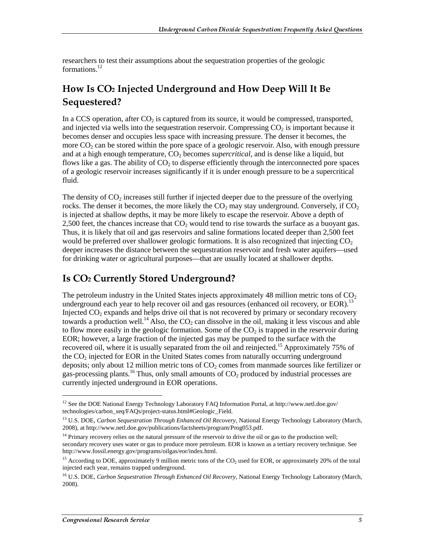researchers to test their assumptions about the sequestration properties of the geologic formations.<sup>12</sup>

#### How Is CO2 Injected Underground and How Deep Will It Be Sequestered?

In a CCS operation, after  $CO<sub>2</sub>$  is captured from its source, it would be compressed, transported, and injected via wells into the sequestration reservoir. Compressing  $CO<sub>2</sub>$  is important because it becomes denser and occupies less space with increasing pressure. The denser it becomes, the more  $CO<sub>2</sub>$  can be stored within the pore space of a geologic reservoir. Also, with enough pressure and at a high enough temperature,  $CO<sub>2</sub>$  becomes *supercritical*, and is dense like a liquid, but flows like a gas. The ability of  $CO<sub>2</sub>$  to disperse efficiently through the interconnected pore spaces of a geologic reservoir increases significantly if it is under enough pressure to be a supercritical fluid.

The density of  $CO<sub>2</sub>$  increases still further if injected deeper due to the pressure of the overlying rocks. The denser it becomes, the more likely the  $CO<sub>2</sub>$  may stay underground. Conversely, if  $CO<sub>2</sub>$ is injected at shallow depths, it may be more likely to escape the reservoir. Above a depth of  $2,500$  feet, the chances increase that  $CO<sub>2</sub>$  would tend to rise towards the surface as a buoyant gas. Thus, it is likely that oil and gas reservoirs and saline formations located deeper than 2,500 feet would be preferred over shallower geologic formations. It is also recognized that injecting  $CO<sub>2</sub>$ deeper increases the distance between the sequestration reservoir and fresh water aquifers—used for drinking water or agricultural purposes—that are usually located at shallower depths.

### Is CO2 Currently Stored Underground?

The petroleum industry in the United States injects approximately 48 million metric tons of  $CO<sub>2</sub>$ underground each year to help recover oil and gas resources (enhanced oil recovery, or EOR).<sup>13</sup> Injected  $CO<sub>2</sub>$  expands and helps drive oil that is not recovered by primary or secondary recovery towards a production well.<sup>14</sup> Also, the  $CO<sub>2</sub>$  can dissolve in the oil, making it less viscous and able to flow more easily in the geologic formation. Some of the  $CO<sub>2</sub>$  is trapped in the reservoir during EOR; however, a large fraction of the injected gas may be pumped to the surface with the recovered oil, where it is usually separated from the oil and reinjected.<sup>15</sup> Approximately 75% of the  $CO<sub>2</sub>$  injected for EOR in the United States comes from naturally occurring underground deposits; only about 12 million metric tons of  $CO<sub>2</sub>$  comes from manmade sources like fertilizer or gas-processing plants.<sup>16</sup> Thus, only small amounts of  $CO<sub>2</sub>$  produced by industrial processes are currently injected underground in EOR operations.

 $\overline{a}$ 

<sup>&</sup>lt;sup>12</sup> See the DOE National Energy Technology Laboratory FAQ Information Portal, at http://www.netl.doe.gov/ technologies/carbon\_seq/FAQs/project-status.html#Geologic\_Field.

<sup>&</sup>lt;sup>13</sup> U.S. DOE, *Carbon Sequestration Through Enhanced Oil Recovery*, National Energy Technology Laboratory (March, 2008), at http://www.netl.doe.gov/publications/factsheets/program/Prog053.pdf.

 $14$  Primary recovery relies on the natural pressure of the reservoir to drive the oil or gas to the production well; secondary recovery uses water or gas to produce more petroleum. EOR is known as a tertiary recovery technique. See http://www.fossil.energy.gov/programs/oilgas/eor/index.html.

<sup>&</sup>lt;sup>15</sup> According to DOE, approximately 9 million metric tons of the  $CO<sub>2</sub>$  used for EOR, or approximately 20% of the total injected each year, remains trapped underground.

<sup>16</sup> U.S. DOE, *Carbon Sequestration Through Enhanced Oil Recovery*, National Energy Technology Laboratory (March, 2008).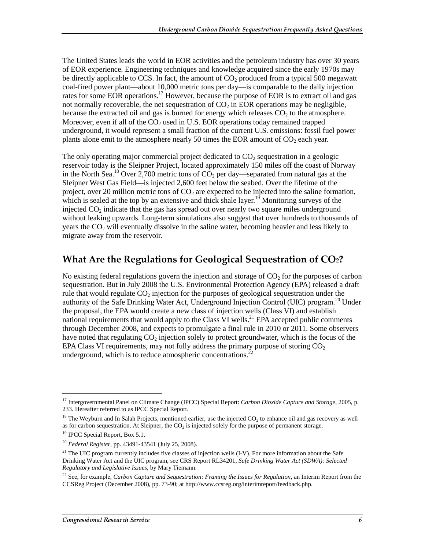The United States leads the world in EOR activities and the petroleum industry has over 30 years of EOR experience. Engineering techniques and knowledge acquired since the early 1970s may be directly applicable to CCS. In fact, the amount of  $CO<sub>2</sub>$  produced from a typical 500 megawatt coal-fired power plant—about 10,000 metric tons per day—is comparable to the daily injection rates for some EOR operations.<sup>17</sup> However, because the purpose of EOR is to extract oil and gas not normally recoverable, the net sequestration of  $CO<sub>2</sub>$  in EOR operations may be negligible, because the extracted oil and gas is burned for energy which releases  $CO<sub>2</sub>$  to the atmosphere. Moreover, even if all of the  $CO<sub>2</sub>$  used in U.S. EOR operations today remained trapped underground, it would represent a small fraction of the current U.S. emissions: fossil fuel power plants alone emit to the atmosphere nearly 50 times the EOR amount of  $CO<sub>2</sub>$  each year.

The only operating major commercial project dedicated to  $CO<sub>2</sub>$  sequestration in a geologic reservoir today is the Sleipner Project, located approximately 150 miles off the coast of Norway in the North Sea.<sup>18</sup> Over 2,700 metric tons of  $CO_2$  per day—separated from natural gas at the Sleipner West Gas Field—is injected 2,600 feet below the seabed. Over the lifetime of the project, over 20 million metric tons of  $CO<sub>2</sub>$  are expected to be injected into the saline formation, which is sealed at the top by an extensive and thick shale layer.<sup>19</sup> Monitoring surveys of the injected  $CO<sub>2</sub>$  indicate that the gas has spread out over nearly two square miles underground without leaking upwards. Long-term simulations also suggest that over hundreds to thousands of years the  $CO<sub>2</sub>$  will eventually dissolve in the saline water, becoming heavier and less likely to migrate away from the reservoir.

### What Are the Regulations for Geological Sequestration of  $\mathrm{CO}_2\text{?}{}$

No existing federal regulations govern the injection and storage of  $CO<sub>2</sub>$  for the purposes of carbon sequestration. But in July 2008 the U.S. Environmental Protection Agency (EPA) released a draft rule that would regulate  $CO<sub>2</sub>$  injection for the purposes of geological sequestration under the authority of the Safe Drinking Water Act, Underground Injection Control (UIC) program.<sup>20</sup> Under the proposal, the EPA would create a new class of injection wells (Class VI) and establish national requirements that would apply to the Class VI wells.<sup>21</sup> EPA accepted public comments through December 2008, and expects to promulgate a final rule in 2010 or 2011. Some observers have noted that regulating  $CO<sub>2</sub>$  injection solely to protect groundwater, which is the focus of the EPA Class VI requirements, may not fully address the primary purpose of storing  $CO<sub>2</sub>$ underground, which is to reduce atmospheric concentrations. $2<sup>2</sup>$ 

 $\overline{a}$ 

<sup>17</sup> Intergovernmental Panel on Climate Change (IPCC) Special Report: *Carbon Dioxide Capture and Storage*, 2005, p. 233. Hereafter referred to as IPCC Special Report.

 $18$  The Weyburn and In Salah Projects, mentioned earlier, use the injected CO<sub>2</sub> to enhance oil and gas recovery as well as for carbon sequestration. At Sleipner, the  $CO<sub>2</sub>$  is injected solely for the purpose of permanent storage.

<sup>&</sup>lt;sup>19</sup> IPCC Special Report, Box 5.1.

<sup>20</sup> *Federal Register*, pp. 43491-43541 (July 25, 2008).

<sup>&</sup>lt;sup>21</sup> The UIC program currently includes five classes of injection wells  $(I-V)$ . For more information about the Safe Drinking Water Act and the UIC program, see CRS Report RL34201, *Safe Drinking Water Act (SDWA): Selected Regulatory and Legislative Issues*, by Mary Tiemann.

<sup>&</sup>lt;sup>22</sup> See, for example, *Carbon Capture and Sequestration: Framing the Issues for Regulation*, an Interim Report from the CCSReg Project (December 2008), pp. 73-90; at http://www.ccsreg.org/interimreport/feedback.php.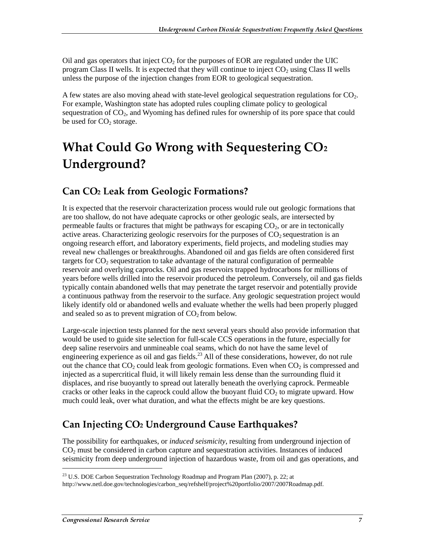Oil and gas operators that inject  $CO<sub>2</sub>$  for the purposes of EOR are regulated under the UIC program Class II wells. It is expected that they will continue to inject  $CO<sub>2</sub>$  using Class II wells unless the purpose of the injection changes from EOR to geological sequestration.

A few states are also moving ahead with state-level geological sequestration regulations for  $CO<sub>2</sub>$ . For example, Washington state has adopted rules coupling climate policy to geological sequestration of  $CO<sub>2</sub>$ , and Wyoming has defined rules for ownership of its pore space that could be used for  $CO<sub>2</sub>$  storage.

## What Could Go Wrong with Sequestering CO $_{2}$ Underground?

### Can CO2 Leak from Geologic Formations?

It is expected that the reservoir characterization process would rule out geologic formations that are too shallow, do not have adequate caprocks or other geologic seals, are intersected by permeable faults or fractures that might be pathways for escaping  $CO<sub>2</sub>$ , or are in tectonically active areas. Characterizing geologic reservoirs for the purposes of  $CO<sub>2</sub>$  sequestration is an ongoing research effort, and laboratory experiments, field projects, and modeling studies may reveal new challenges or breakthroughs. Abandoned oil and gas fields are often considered first targets for  $CO<sub>2</sub>$  sequestration to take advantage of the natural configuration of permeable reservoir and overlying caprocks. Oil and gas reservoirs trapped hydrocarbons for millions of years before wells drilled into the reservoir produced the petroleum. Conversely, oil and gas fields typically contain abandoned wells that may penetrate the target reservoir and potentially provide a continuous pathway from the reservoir to the surface. Any geologic sequestration project would likely identify old or abandoned wells and evaluate whether the wells had been properly plugged and sealed so as to prevent migration of  $CO<sub>2</sub>$  from below.

Large-scale injection tests planned for the next several years should also provide information that would be used to guide site selection for full-scale CCS operations in the future, especially for deep saline reservoirs and unmineable coal seams, which do not have the same level of engineering experience as oil and gas fields.<sup>23</sup> All of these considerations, however, do not rule out the chance that  $CO_2$  could leak from geologic formations. Even when  $CO_2$  is compressed and injected as a supercritical fluid, it will likely remain less dense than the surrounding fluid it displaces, and rise buoyantly to spread out laterally beneath the overlying caprock. Permeable cracks or other leaks in the caprock could allow the buoyant fluid  $CO<sub>2</sub>$  to migrate upward. How much could leak, over what duration, and what the effects might be are key questions.

### Can Injecting CO2 Underground Cause Earthquakes?

The possibility for earthquakes, or *induced seismicity*, resulting from underground injection of  $CO<sub>2</sub>$  must be considered in carbon capture and sequestration activities. Instances of induced seismicity from deep underground injection of hazardous waste, from oil and gas operations, and

http://www.netl.doe.gov/technologies/carbon\_seq/refshelf/project%20portfolio/2007/2007Roadmap.pdf.

<sup>&</sup>lt;sup>23</sup> U.S. DOE Carbon Sequestration Technology Roadmap and Program Plan (2007), p. 22; at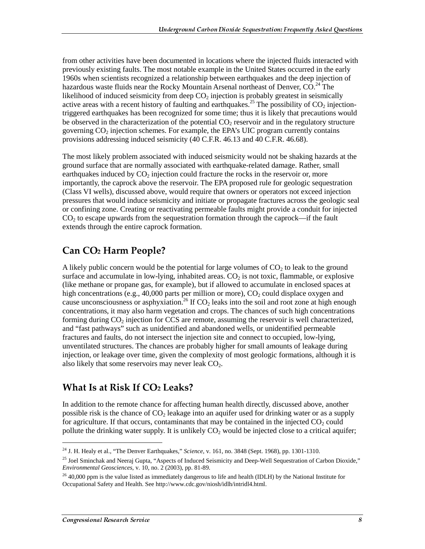from other activities have been documented in locations where the injected fluids interacted with previously existing faults. The most notable example in the United States occurred in the early 1960s when scientists recognized a relationship between earthquakes and the deep injection of hazardous waste fluids near the Rocky Mountain Arsenal northeast of Denver, CO.<sup>24</sup> The likelihood of induced seismicity from deep  $CO<sub>2</sub>$  injection is probably greatest in seismically active areas with a recent history of faulting and earthquakes.<sup>25</sup> The possibility of  $CO<sub>2</sub>$  injectiontriggered earthquakes has been recognized for some time; thus it is likely that precautions would be observed in the characterization of the potential  $CO<sub>2</sub>$  reservoir and in the regulatory structure governing  $CO<sub>2</sub>$  injection schemes. For example, the EPA's UIC program currently contains provisions addressing induced seismicity (40 C.F.R. 46.13 and 40 C.F.R. 46.68).

The most likely problem associated with induced seismicity would not be shaking hazards at the ground surface that are normally associated with earthquake-related damage. Rather, small earthquakes induced by  $CO<sub>2</sub>$  injection could fracture the rocks in the reservoir or, more importantly, the caprock above the reservoir. The EPA proposed rule for geologic sequestration (Class VI wells), discussed above, would require that owners or operators not exceed injection pressures that would induce seismicity and initiate or propagate fractures across the geologic seal or confining zone. Creating or reactivating permeable faults might provide a conduit for injected  $CO<sub>2</sub>$  to escape upwards from the sequestration formation through the caprock—if the fault extends through the entire caprock formation.

### Can CO2 Harm People?

A likely public concern would be the potential for large volumes of  $CO<sub>2</sub>$  to leak to the ground surface and accumulate in low-lying, inhabited areas.  $CO<sub>2</sub>$  is not toxic, flammable, or explosive (like methane or propane gas, for example), but if allowed to accumulate in enclosed spaces at high concentrations (e.g., 40,000 parts per million or more),  $CO<sub>2</sub>$  could displace oxygen and cause unconsciousness or asphyxiation.<sup>26</sup> If CO<sub>2</sub> leaks into the soil and root zone at high enough concentrations, it may also harm vegetation and crops. The chances of such high concentrations forming during  $CO<sub>2</sub>$  injection for CCS are remote, assuming the reservoir is well characterized, and "fast pathways" such as unidentified and abandoned wells, or unidentified permeable fractures and faults, do not intersect the injection site and connect to occupied, low-lying, unventilated structures. The chances are probably higher for small amounts of leakage during injection, or leakage over time, given the complexity of most geologic formations, although it is also likely that some reservoirs may never leak  $CO<sub>2</sub>$ .

#### What Is at Risk If CO<sub>2</sub> Leaks?

In addition to the remote chance for affecting human health directly, discussed above, another possible risk is the chance of  $CO<sub>2</sub>$  leakage into an aquifer used for drinking water or as a supply for agriculture. If that occurs, contaminants that may be contained in the injected  $CO<sub>2</sub>$  could pollute the drinking water supply. It is unlikely  $CO<sub>2</sub>$  would be injected close to a critical aquifer;

<sup>24</sup> J. H. Healy et al., "The Denver Earthquakes," *Science*, v. 161, no. 3848 (Sept. 1968), pp. 1301-1310.

<sup>&</sup>lt;sup>25</sup> Joel Sminchak and Neeraj Gupta, "Aspects of Induced Seismicity and Deep-Well Sequestration of Carbon Dioxide," *Environmental Geosciences*, v. 10, no. 2 (2003), pp. 81-89.

 $^{26}$  40,000 ppm is the value listed as immediately dangerous to life and health (IDLH) by the National Institute for Occupational Safety and Health. See http://www.cdc.gov/niosh/idlh/intridl4.html.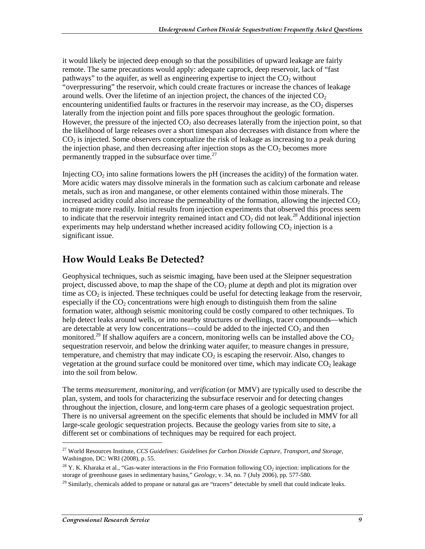it would likely be injected deep enough so that the possibilities of upward leakage are fairly remote. The same precautions would apply: adequate caprock, deep reservoir, lack of "fast pathways" to the aquifer, as well as engineering expertise to inject the  $CO<sub>2</sub>$  without "overpressuring" the reservoir, which could create fractures or increase the chances of leakage around wells. Over the lifetime of an injection project, the chances of the injected  $CO<sub>2</sub>$ encountering unidentified faults or fractures in the reservoir may increase, as the  $CO<sub>2</sub>$  disperses laterally from the injection point and fills pore spaces throughout the geologic formation. However, the pressure of the injected  $CO<sub>2</sub>$  also decreases laterally from the injection point, so that the likelihood of large releases over a short timespan also decreases with distance from where the  $CO<sub>2</sub>$  is injected. Some observers conceptualize the risk of leakage as increasing to a peak during the injection phase, and then decreasing after injection stops as the  $CO<sub>2</sub>$  becomes more permanently trapped in the subsurface over time.<sup>27</sup>

Injecting  $CO<sub>2</sub>$  into saline formations lowers the pH (increases the acidity) of the formation water. More acidic waters may dissolve minerals in the formation such as calcium carbonate and release metals, such as iron and manganese, or other elements contained within those minerals. The increased acidity could also increase the permeability of the formation, allowing the injected  $CO<sub>2</sub>$ to migrate more readily. Initial results from injection experiments that observed this process seem to indicate that the reservoir integrity remained intact and  $CO<sub>2</sub>$  did not leak.<sup>28</sup> Additional injection experiments may help understand whether increased acidity following  $CO<sub>2</sub>$  injection is a significant issue.

#### How Would Leaks Be Detected?

Geophysical techniques, such as seismic imaging, have been used at the Sleipner sequestration project, discussed above, to map the shape of the  $CO<sub>2</sub>$  plume at depth and plot its migration over time as  $CO<sub>2</sub>$  is injected. These techniques could be useful for detecting leakage from the reservoir, especially if the  $CO<sub>2</sub>$  concentrations were high enough to distinguish them from the saline formation water, although seismic monitoring could be costly compared to other techniques. To help detect leaks around wells, or into nearby structures or dwellings, tracer compounds—which are detectable at very low concentrations—could be added to the injected  $CO<sub>2</sub>$  and then monitored.<sup>29</sup> If shallow aquifers are a concern, monitoring wells can be installed above the  $CO<sub>2</sub>$ sequestration reservoir, and below the drinking water aquifer, to measure changes in pressure, temperature, and chemistry that may indicate  $CO<sub>2</sub>$  is escaping the reservoir. Also, changes to vegetation at the ground surface could be monitored over time, which may indicate  $CO<sub>2</sub>$  leakage into the soil from below.

The terms *measurement*, *monitoring*, and *verification* (or MMV) are typically used to describe the plan, system, and tools for characterizing the subsurface reservoir and for detecting changes throughout the injection, closure, and long-term care phases of a geologic sequestration project. There is no universal agreement on the specific elements that should be included in MMV for all large-scale geologic sequestration projects. Because the geology varies from site to site, a different set or combinations of techniques may be required for each project.

<sup>27</sup> World Resources Institute, *CCS Guidelines: Guidelines for Carbon Dioxide Capture, Transport, and Storage*, Washington, DC: WRI (2008), p. 55.

<sup>&</sup>lt;sup>28</sup> Y. K. Kharaka et al., "Gas-water interactions in the Frio Formation following  $CO_2$  injection: implications for the storage of greenhouse gases in sedimentary basins," *Geology*, v. 34, no. 7 (July 2006), pp. 577-580.

 $^{29}$  Similarly, chemicals added to propane or natural gas are "tracers" detectable by smell that could indicate leaks.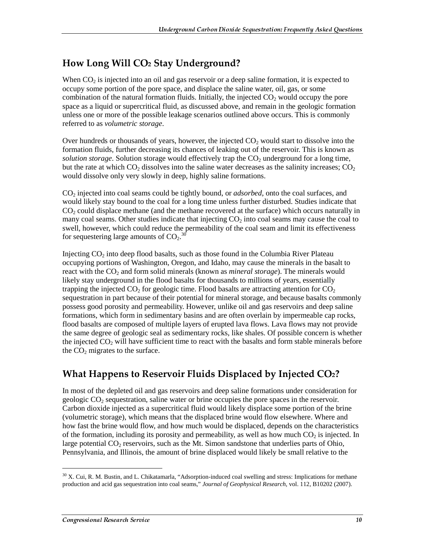### How Long Will CO2 Stay Underground?

When  $CO<sub>2</sub>$  is injected into an oil and gas reservoir or a deep saline formation, it is expected to occupy some portion of the pore space, and displace the saline water, oil, gas, or some combination of the natural formation fluids. Initially, the injected  $CO<sub>2</sub>$  would occupy the pore space as a liquid or supercritical fluid, as discussed above, and remain in the geologic formation unless one or more of the possible leakage scenarios outlined above occurs. This is commonly referred to as *volumetric storage*.

Over hundreds or thousands of years, however, the injected  $CO<sub>2</sub>$  would start to dissolve into the formation fluids, further decreasing its chances of leaking out of the reservoir. This is known as *solution storage*. Solution storage would effectively trap the CO<sub>2</sub> underground for a long time, but the rate at which  $CO<sub>2</sub>$  dissolves into the saline water decreases as the salinity increases;  $CO<sub>2</sub>$ would dissolve only very slowly in deep, highly saline formations.

CO2 injected into coal seams could be tightly bound, or *adsorbed*, onto the coal surfaces, and would likely stay bound to the coal for a long time unless further disturbed. Studies indicate that  $CO<sub>2</sub>$  could displace methane (and the methane recovered at the surface) which occurs naturally in many coal seams. Other studies indicate that injecting  $CO<sub>2</sub>$  into coal seams may cause the coal to swell, however, which could reduce the permeability of the coal seam and limit its effectiveness for sequestering large amounts of  $CO<sub>2</sub>$ .<sup>30</sup>

Injecting  $CO<sub>2</sub>$  into deep flood basalts, such as those found in the Columbia River Plateau occupying portions of Washington, Oregon, and Idaho, may cause the minerals in the basalt to react with the CO<sub>2</sub> and form solid minerals (known as *mineral storage*). The minerals would likely stay underground in the flood basalts for thousands to millions of years, essentially trapping the injected  $CO<sub>2</sub>$  for geologic time. Flood basalts are attracting attention for  $CO<sub>2</sub>$ sequestration in part because of their potential for mineral storage, and because basalts commonly possess good porosity and permeability. However, unlike oil and gas reservoirs and deep saline formations, which form in sedimentary basins and are often overlain by impermeable cap rocks, flood basalts are composed of multiple layers of erupted lava flows. Lava flows may not provide the same degree of geologic seal as sedimentary rocks, like shales. Of possible concern is whether the injected  $CO<sub>2</sub>$  will have sufficient time to react with the basalts and form stable minerals before the  $CO<sub>2</sub>$  migrates to the surface.

#### What Happens to Reservoir Fluids Displaced by Injected  $CO<sub>2</sub>$ ?

In most of the depleted oil and gas reservoirs and deep saline formations under consideration for geologic  $CO<sub>2</sub>$  sequestration, saline water or brine occupies the pore spaces in the reservoir. Carbon dioxide injected as a supercritical fluid would likely displace some portion of the brine (volumetric storage), which means that the displaced brine would flow elsewhere. Where and how fast the brine would flow, and how much would be displaced, depends on the characteristics of the formation, including its porosity and permeability, as well as how much  $CO<sub>2</sub>$  is injected. In large potential  $CO<sub>2</sub>$  reservoirs, such as the Mt. Simon sandstone that underlies parts of Ohio, Pennsylvania, and Illinois, the amount of brine displaced would likely be small relative to the

<sup>&</sup>lt;sup>30</sup> X. Cui, R. M. Bustin, and L. Chikatamarla, "Adsorption-induced coal swelling and stress: Implications for methane production and acid gas sequestration into coal seams," *Journal of Geophysical Research*, vol. 112, B10202 (2007).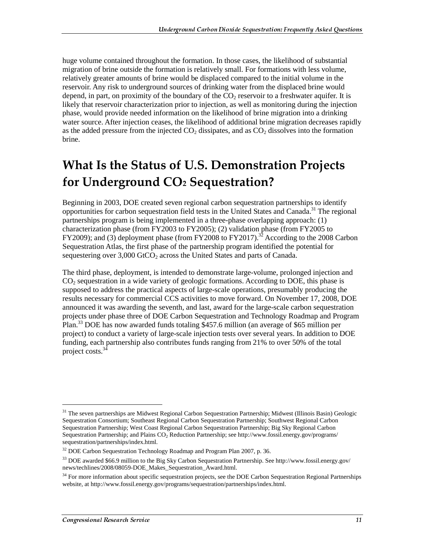huge volume contained throughout the formation. In those cases, the likelihood of substantial migration of brine outside the formation is relatively small. For formations with less volume, relatively greater amounts of brine would be displaced compared to the initial volume in the reservoir. Any risk to underground sources of drinking water from the displaced brine would depend, in part, on proximity of the boundary of the  $CO<sub>2</sub>$  reservoir to a freshwater aquifer. It is likely that reservoir characterization prior to injection, as well as monitoring during the injection phase, would provide needed information on the likelihood of brine migration into a drinking water source. After injection ceases, the likelihood of additional brine migration decreases rapidly as the added pressure from the injected  $CO<sub>2</sub>$  dissipates, and as  $CO<sub>2</sub>$  dissolves into the formation brine.

## What Is the Status of U.S. Demonstration Projects for Underground CO2 Sequestration?

Beginning in 2003, DOE created seven regional carbon sequestration partnerships to identify opportunities for carbon sequestration field tests in the United States and Canada.<sup>31</sup> The regional partnerships program is being implemented in a three-phase overlapping approach: (1) characterization phase (from FY2003 to FY2005); (2) validation phase (from FY2005 to FY2009); and (3) deployment phase (from FY2008 to FY2017).<sup>32</sup> According to the 2008 Carbon Sequestration Atlas, the first phase of the partnership program identified the potential for sequestering over  $3,000$  GtCO<sub>2</sub> across the United States and parts of Canada.

The third phase, deployment, is intended to demonstrate large-volume, prolonged injection and  $CO<sub>2</sub>$  sequestration in a wide variety of geologic formations. According to DOE, this phase is supposed to address the practical aspects of large-scale operations, presumably producing the results necessary for commercial CCS activities to move forward. On November 17, 2008, DOE announced it was awarding the seventh, and last, award for the large-scale carbon sequestration projects under phase three of DOE Carbon Sequestration and Technology Roadmap and Program Plan.<sup>33</sup> DOE has now awarded funds totaling \$457.6 million (an average of \$65 million per project) to conduct a variety of large-scale injection tests over several years. In addition to DOE funding, each partnership also contributes funds ranging from 21% to over 50% of the total project costs. $34$ 

<sup>&</sup>lt;sup>31</sup> The seven partnerships are Midwest Regional Carbon Sequestration Partnership; Midwest (Illinois Basin) Geologic Sequestration Consortium; Southeast Regional Carbon Sequestration Partnership; Southwest Regional Carbon Sequestration Partnership; West Coast Regional Carbon Sequestration Partnership; Big Sky Regional Carbon Sequestration Partnership; and Plains CO<sub>2</sub> Reduction Partnership; see http://www.fossil.energy.gov/programs/ sequestration/partnerships/index.html.

<sup>&</sup>lt;sup>32</sup> DOE Carbon Sequestration Technology Roadmap and Program Plan 2007, p. 36.

 $33$  DOE awarded \$66.9 million to the Big Sky Carbon Sequestration Partnership. See http://www.fossil.energy.gov/ news/techlines/2008/08059-DOE\_Makes\_Sequestration\_Award.html.

<sup>&</sup>lt;sup>34</sup> For more information about specific sequestration projects, see the DOE Carbon Sequestration Regional Partnerships website, at http://www.fossil.energy.gov/programs/sequestration/partnerships/index.html.